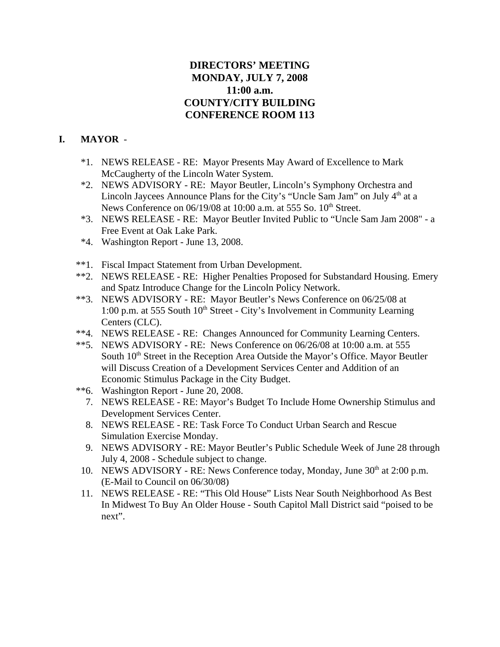# **DIRECTORS' MEETING MONDAY, JULY 7, 2008 11:00 a.m. COUNTY/CITY BUILDING CONFERENCE ROOM 113**

# **I. MAYOR** -

- \*1. NEWS RELEASE RE: Mayor Presents May Award of Excellence to Mark McCaugherty of the Lincoln Water System.
- \*2. NEWS ADVISORY RE: Mayor Beutler, Lincoln's Symphony Orchestra and Lincoln Jaycees Announce Plans for the City's "Uncle Sam Jam" on July  $4<sup>th</sup>$  at a News Conference on  $06/19/08$  at 10:00 a.m. at 555 So.  $10<sup>th</sup>$  Street.
- \*3. NEWS RELEASE RE: Mayor Beutler Invited Public to "Uncle Sam Jam 2008" a Free Event at Oak Lake Park.
- \*4. Washington Report June 13, 2008.
- \*\*1. Fiscal Impact Statement from Urban Development.
- \*\*2. NEWS RELEASE RE: Higher Penalties Proposed for Substandard Housing. Emery and Spatz Introduce Change for the Lincoln Policy Network.
- \*\*3. NEWS ADVISORY RE: Mayor Beutler's News Conference on 06/25/08 at 1:00 p.m. at 555 South  $10<sup>th</sup>$  Street - City's Involvement in Community Learning Centers (CLC).
- \*\*4. NEWS RELEASE RE: Changes Announced for Community Learning Centers.
- \*\*5. NEWS ADVISORY RE: News Conference on 06/26/08 at 10:00 a.m. at 555 South 10<sup>th</sup> Street in the Reception Area Outside the Mayor's Office. Mayor Beutler will Discuss Creation of a Development Services Center and Addition of an Economic Stimulus Package in the City Budget.
- \*\*6. Washington Report June 20, 2008.
	- 7. NEWS RELEASE RE: Mayor's Budget To Include Home Ownership Stimulus and Development Services Center.
	- 8. NEWS RELEASE RE: Task Force To Conduct Urban Search and Rescue Simulation Exercise Monday.
	- 9. NEWS ADVISORY RE: Mayor Beutler's Public Schedule Week of June 28 through July 4, 2008 - Schedule subject to change.
- 10. NEWS ADVISORY RE: News Conference today, Monday, June 30<sup>th</sup> at 2:00 p.m. (E-Mail to Council on 06/30/08)
- 11. NEWS RELEASE RE: "This Old House" Lists Near South Neighborhood As Best In Midwest To Buy An Older House - South Capitol Mall District said "poised to be next".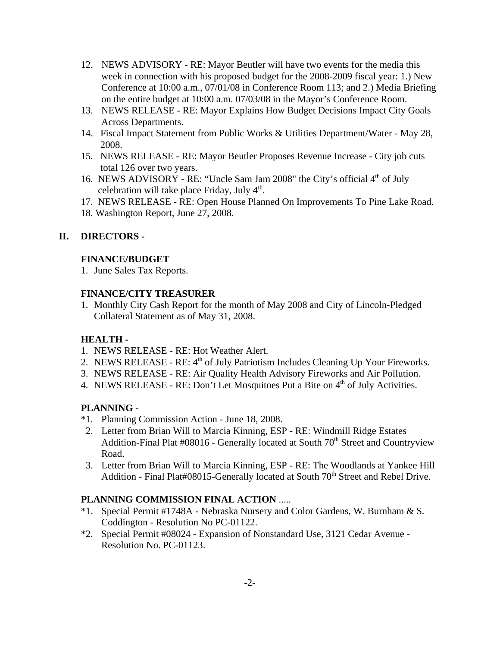- 12. NEWS ADVISORY RE: Mayor Beutler will have two events for the media this week in connection with his proposed budget for the 2008-2009 fiscal year: 1.) New Conference at 10:00 a.m., 07/01/08 in Conference Room 113; and 2.) Media Briefing on the entire budget at 10:00 a.m. 07/03/08 in the Mayor's Conference Room.
- 13. NEWS RELEASE RE: Mayor Explains How Budget Decisions Impact City Goals Across Departments.
- 14. Fiscal Impact Statement from Public Works & Utilities Department/Water May 28, 2008.
- 15. NEWS RELEASE RE: Mayor Beutler Proposes Revenue Increase City job cuts total 126 over two years.
- 16. NEWS ADVISORY RE: "Uncle Sam Jam 2008" the City's official 4<sup>th</sup> of July celebration will take place Friday, July  $4<sup>th</sup>$ .
- 17. NEWS RELEASE RE: Open House Planned On Improvements To Pine Lake Road.
- 18. Washington Report, June 27, 2008.

# **II. DIRECTORS -**

#### **FINANCE/BUDGET**

1. June Sales Tax Reports.

#### **FINANCE/CITY TREASURER**

1. Monthly City Cash Report for the month of May 2008 and City of Lincoln-Pledged Collateral Statement as of May 31, 2008.

## **HEALTH -**

- 1. NEWS RELEASE RE: Hot Weather Alert.
- 2. NEWS RELEASE RE:  $4<sup>th</sup>$  of July Patriotism Includes Cleaning Up Your Fireworks.
- 3. NEWS RELEASE RE: Air Quality Health Advisory Fireworks and Air Pollution.
- 4. NEWS RELEASE RE: Don't Let Mosquitoes Put a Bite on  $4<sup>th</sup>$  of July Activities.

## **PLANNING** -

- \*1. Planning Commission Action June 18, 2008.
- 2. Letter from Brian Will to Marcia Kinning, ESP RE: Windmill Ridge Estates Addition-Final Plat  $\#08016$  - Generally located at South  $70<sup>th</sup>$  Street and Countryview Road.
- 3. Letter from Brian Will to Marcia Kinning, ESP RE: The Woodlands at Yankee Hill Addition - Final Plat#08015-Generally located at South 70<sup>th</sup> Street and Rebel Drive.

## **PLANNING COMMISSION FINAL ACTION** .....

- \*1. Special Permit #1748A Nebraska Nursery and Color Gardens, W. Burnham & S. Coddington - Resolution No PC-01122.
- \*2. Special Permit #08024 Expansion of Nonstandard Use, 3121 Cedar Avenue Resolution No. PC-01123.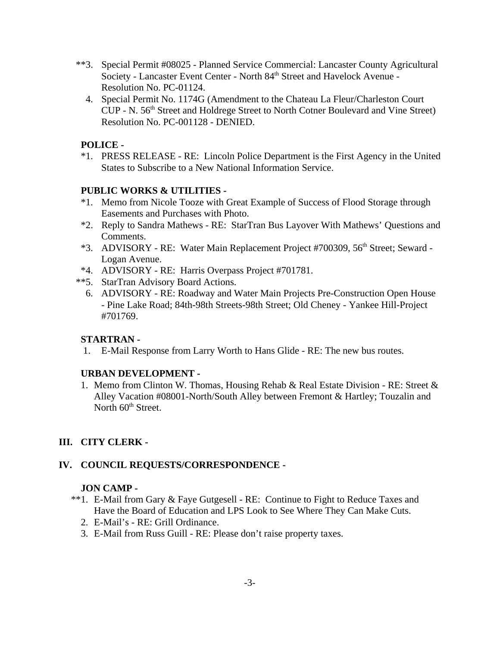- \*\*3. Special Permit #08025 Planned Service Commercial: Lancaster County Agricultural Society - Lancaster Event Center - North 84<sup>th</sup> Street and Havelock Avenue -Resolution No. PC-01124.
	- 4. Special Permit No. 1174G (Amendment to the Chateau La Fleur/Charleston Court CUP - N. 56<sup>th</sup> Street and Holdrege Street to North Cotner Boulevard and Vine Street) Resolution No. PC-001128 - DENIED.

# **POLICE -**

\*1. PRESS RELEASE - RE: Lincoln Police Department is the First Agency in the United States to Subscribe to a New National Information Service.

## **PUBLIC WORKS & UTILITIES -**

- \*1. Memo from Nicole Tooze with Great Example of Success of Flood Storage through Easements and Purchases with Photo.
- \*2. Reply to Sandra Mathews RE: StarTran Bus Layover With Mathews' Questions and Comments.
- \*3. ADVISORY RE: Water Main Replacement Project #700309, 56th Street; Seward Logan Avenue.
- \*4. ADVISORY RE: Harris Overpass Project #701781.
- \*\*5. StarTran Advisory Board Actions.
	- 6. ADVISORY RE: Roadway and Water Main Projects Pre-Construction Open House - Pine Lake Road; 84th-98th Streets-98th Street; Old Cheney - Yankee Hill-Project #701769.

## **STARTRAN -**

1. E-Mail Response from Larry Worth to Hans Glide - RE: The new bus routes.

## **URBAN DEVELOPMENT -**

1. Memo from Clinton W. Thomas, Housing Rehab & Real Estate Division - RE: Street & Alley Vacation #08001-North/South Alley between Fremont & Hartley; Touzalin and North  $60<sup>th</sup>$  Street.

## **III. CITY CLERK -**

## **IV. COUNCIL REQUESTS/CORRESPONDENCE -**

## **JON CAMP -**

- \*\*1. E-Mail from Gary & Faye Gutgesell RE: Continue to Fight to Reduce Taxes and Have the Board of Education and LPS Look to See Where They Can Make Cuts.
	- 2. E-Mail's RE: Grill Ordinance.
	- 3. E-Mail from Russ Guill RE: Please don't raise property taxes.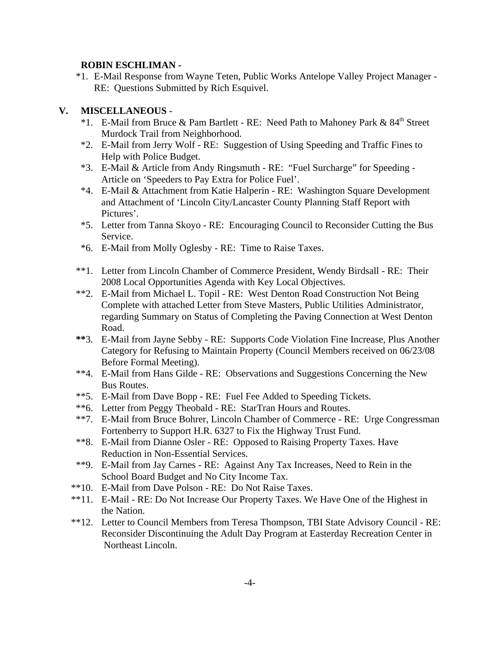#### **ROBIN ESCHLIMAN -**

\*1. E-Mail Response from Wayne Teten, Public Works Antelope Valley Project Manager - RE: Questions Submitted by Rich Esquivel.

## **V. MISCELLANEOUS** -

- \*1. E-Mail from Bruce & Pam Bartlett RE: Need Path to Mahoney Park & 84<sup>th</sup> Street Murdock Trail from Neighborhood.
- \*2. E-Mail from Jerry Wolf RE: Suggestion of Using Speeding and Traffic Fines to Help with Police Budget.
- \*3. E-Mail & Article from Andy Ringsmuth RE: "Fuel Surcharge" for Speeding Article on 'Speeders to Pay Extra for Police Fuel'.
- \*4. E-Mail & Attachment from Katie Halperin RE: Washington Square Development and Attachment of 'Lincoln City/Lancaster County Planning Staff Report with Pictures'.
- \*5. Letter from Tanna Skoyo RE: Encouraging Council to Reconsider Cutting the Bus Service.
- \*6. E-Mail from Molly Oglesby RE: Time to Raise Taxes.
- \*\*1. Letter from Lincoln Chamber of Commerce President, Wendy Birdsall RE: Their 2008 Local Opportunities Agenda with Key Local Objectives.
- \*\*2. E-Mail from Michael L. Topil RE: West Denton Road Construction Not Being Complete with attached Letter from Steve Masters, Public Utilities Administrator, regarding Summary on Status of Completing the Paving Connection at West Denton Road.
- **\*\***3. E-Mail from Jayne Sebby RE: Supports Code Violation Fine Increase, Plus Another Category for Refusing to Maintain Property (Council Members received on 06/23/08 Before Formal Meeting).
- \*\*4. E-Mail from Hans Gilde RE: Observations and Suggestions Concerning the New Bus Routes.
- \*\*5. E-Mail from Dave Bopp RE: Fuel Fee Added to Speeding Tickets.
- \*\*6. Letter from Peggy Theobald RE: StarTran Hours and Routes.
- \*\*7. E-Mail from Bruce Bohrer, Lincoln Chamber of Commerce RE: Urge Congressman Fortenberry to Support H.R. 6327 to Fix the Highway Trust Fund.
- \*\*8. E-Mail from Dianne Osler RE: Opposed to Raising Property Taxes. Have Reduction in Non-Essential Services.
- \*\*9. E-Mail from Jay Carnes RE: Against Any Tax Increases, Need to Rein in the School Board Budget and No City Income Tax.
- \*\*10. E-Mail from Dave Polson RE: Do Not Raise Taxes.
- \*\*11. E-Mail RE: Do Not Increase Our Property Taxes. We Have One of the Highest in the Nation.
- \*\*12. Letter to Council Members from Teresa Thompson, TBI State Advisory Council RE: Reconsider Discontinuing the Adult Day Program at Easterday Recreation Center in Northeast Lincoln.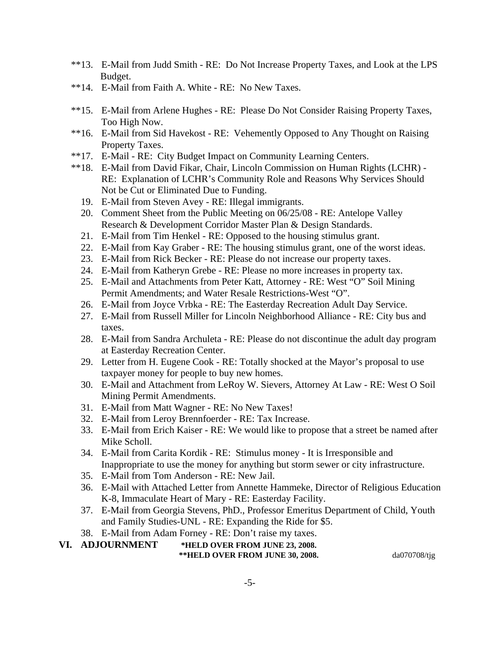- \*\*13. E-Mail from Judd Smith RE: Do Not Increase Property Taxes, and Look at the LPS Budget.
- \*\*14. E-Mail from Faith A. White RE: No New Taxes.
- \*\*15. E-Mail from Arlene Hughes RE: Please Do Not Consider Raising Property Taxes, Too High Now.
- \*\*16. E-Mail from Sid Havekost RE: Vehemently Opposed to Any Thought on Raising Property Taxes.
- \*\*17. E-Mail RE: City Budget Impact on Community Learning Centers.
- \*\*18. E-Mail from David Fikar, Chair, Lincoln Commission on Human Rights (LCHR) RE: Explanation of LCHR's Community Role and Reasons Why Services Should Not be Cut or Eliminated Due to Funding.
	- 19. E-Mail from Steven Avey RE: Illegal immigrants.
	- 20. Comment Sheet from the Public Meeting on 06/25/08 RE: Antelope Valley Research & Development Corridor Master Plan & Design Standards.
	- 21. E-Mail from Tim Henkel RE: Opposed to the housing stimulus grant.
	- 22. E-Mail from Kay Graber RE: The housing stimulus grant, one of the worst ideas.
	- 23. E-Mail from Rick Becker RE: Please do not increase our property taxes.
	- 24. E-Mail from Katheryn Grebe RE: Please no more increases in property tax.
	- 25. E-Mail and Attachments from Peter Katt, Attorney RE: West "O" Soil Mining Permit Amendments; and Water Resale Restrictions-West "O".
	- 26. E-Mail from Joyce Vrbka RE: The Easterday Recreation Adult Day Service.
	- 27. E-Mail from Russell Miller for Lincoln Neighborhood Alliance RE: City bus and taxes.
	- 28. E-Mail from Sandra Archuleta RE: Please do not discontinue the adult day program at Easterday Recreation Center.
	- 29. Letter from H. Eugene Cook RE: Totally shocked at the Mayor's proposal to use taxpayer money for people to buy new homes.
	- 30. E-Mail and Attachment from LeRoy W. Sievers, Attorney At Law RE: West O Soil Mining Permit Amendments.
	- 31. E-Mail from Matt Wagner RE: No New Taxes!
	- 32. E-Mail from Leroy Brennfoerder RE: Tax Increase.
	- 33. E-Mail from Erich Kaiser RE: We would like to propose that a street be named after Mike Scholl.
	- 34. E-Mail from Carita Kordik RE: Stimulus money It is Irresponsible and Inappropriate to use the money for anything but storm sewer or city infrastructure.
	- 35. E-Mail from Tom Anderson RE: New Jail.
	- 36. E-Mail with Attached Letter from Annette Hammeke, Director of Religious Education K-8, Immaculate Heart of Mary - RE: Easterday Facility.
	- 37. E-Mail from Georgia Stevens, PhD., Professor Emeritus Department of Child, Youth and Family Studies-UNL - RE: Expanding the Ride for \$5.
	- 38. E-Mail from Adam Forney RE: Don't raise my taxes.

## **VI. ADJOURNMENT \*HELD OVER FROM JUNE 23, 2008.**

**\*\*HELD OVER FROM JUNE 30, 2008.** da070708/tjg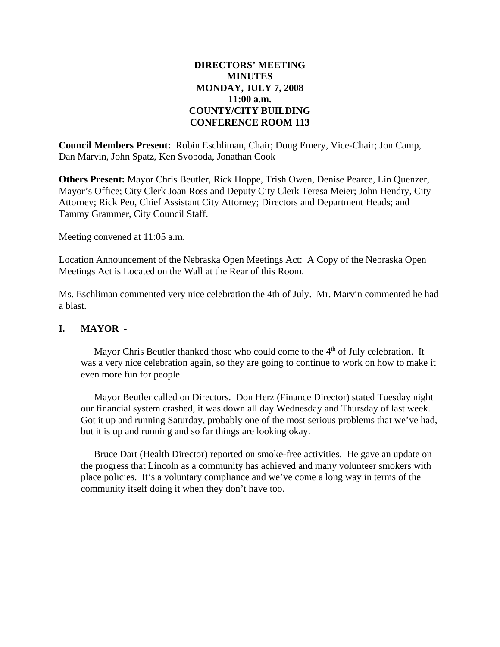#### **DIRECTORS' MEETING MINUTES MONDAY, JULY 7, 2008 11:00 a.m. COUNTY/CITY BUILDING CONFERENCE ROOM 113**

**Council Members Present:** Robin Eschliman, Chair; Doug Emery, Vice-Chair; Jon Camp, Dan Marvin, John Spatz, Ken Svoboda, Jonathan Cook

**Others Present:** Mayor Chris Beutler, Rick Hoppe, Trish Owen, Denise Pearce, Lin Quenzer, Mayor's Office; City Clerk Joan Ross and Deputy City Clerk Teresa Meier; John Hendry, City Attorney; Rick Peo, Chief Assistant City Attorney; Directors and Department Heads; and Tammy Grammer, City Council Staff.

Meeting convened at 11:05 a.m.

Location Announcement of the Nebraska Open Meetings Act: A Copy of the Nebraska Open Meetings Act is Located on the Wall at the Rear of this Room.

Ms. Eschliman commented very nice celebration the 4th of July. Mr. Marvin commented he had a blast.

#### **I. MAYOR** -

Mayor Chris Beutler thanked those who could come to the  $4<sup>th</sup>$  of July celebration. It was a very nice celebration again, so they are going to continue to work on how to make it even more fun for people.

Mayor Beutler called on Directors. Don Herz (Finance Director) stated Tuesday night our financial system crashed, it was down all day Wednesday and Thursday of last week. Got it up and running Saturday, probably one of the most serious problems that we've had, but it is up and running and so far things are looking okay.

Bruce Dart (Health Director) reported on smoke-free activities. He gave an update on the progress that Lincoln as a community has achieved and many volunteer smokers with place policies. It's a voluntary compliance and we've come a long way in terms of the community itself doing it when they don't have too.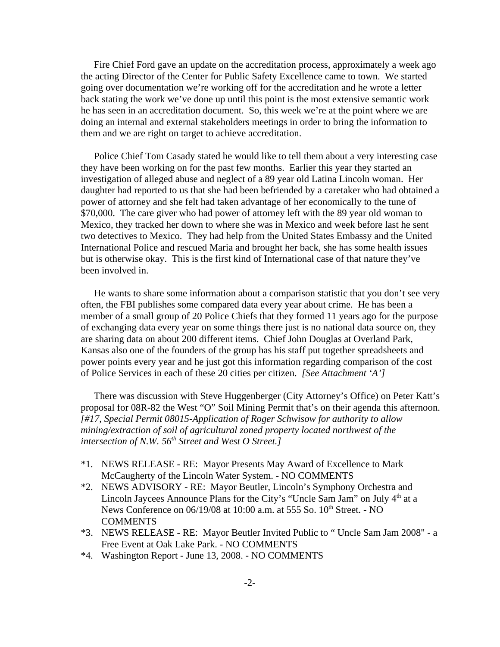Fire Chief Ford gave an update on the accreditation process, approximately a week ago the acting Director of the Center for Public Safety Excellence came to town. We started going over documentation we're working off for the accreditation and he wrote a letter back stating the work we've done up until this point is the most extensive semantic work he has seen in an accreditation document. So, this week we're at the point where we are doing an internal and external stakeholders meetings in order to bring the information to them and we are right on target to achieve accreditation.

Police Chief Tom Casady stated he would like to tell them about a very interesting case they have been working on for the past few months. Earlier this year they started an investigation of alleged abuse and neglect of a 89 year old Latina Lincoln woman. Her daughter had reported to us that she had been befriended by a caretaker who had obtained a power of attorney and she felt had taken advantage of her economically to the tune of \$70,000. The care giver who had power of attorney left with the 89 year old woman to Mexico, they tracked her down to where she was in Mexico and week before last he sent two detectives to Mexico. They had help from the United States Embassy and the United International Police and rescued Maria and brought her back, she has some health issues but is otherwise okay. This is the first kind of International case of that nature they've been involved in.

He wants to share some information about a comparison statistic that you don't see very often, the FBI publishes some compared data every year about crime. He has been a member of a small group of 20 Police Chiefs that they formed 11 years ago for the purpose of exchanging data every year on some things there just is no national data source on, they are sharing data on about 200 different items. Chief John Douglas at Overland Park, Kansas also one of the founders of the group has his staff put together spreadsheets and power points every year and he just got this information regarding comparison of the cost of Police Services in each of these 20 cities per citizen. *[See Attachment 'A']*

There was discussion with Steve Huggenberger (City Attorney's Office) on Peter Katt's proposal for 08R-82 the West "O" Soil Mining Permit that's on their agenda this afternoon. *[#17, Special Permit 08015-Application of Roger Schwisow for authority to allow mining/extraction of soil of agricultural zoned property located northwest of the* intersection of N.W. 56<sup>th</sup> Street and West O Street.]

- \*1. NEWS RELEASE RE: Mayor Presents May Award of Excellence to Mark McCaugherty of the Lincoln Water System. - NO COMMENTS
- \*2. NEWS ADVISORY RE: Mayor Beutler, Lincoln's Symphony Orchestra and Lincoln Jaycees Announce Plans for the City's "Uncle Sam Jam" on July  $4<sup>th</sup>$  at a News Conference on 06/19/08 at 10:00 a.m. at 555 So. 10<sup>th</sup> Street. - NO **COMMENTS**
- \*3. NEWS RELEASE RE: Mayor Beutler Invited Public to " Uncle Sam Jam 2008" a Free Event at Oak Lake Park. - NO COMMENTS
- \*4. Washington Report June 13, 2008. NO COMMENTS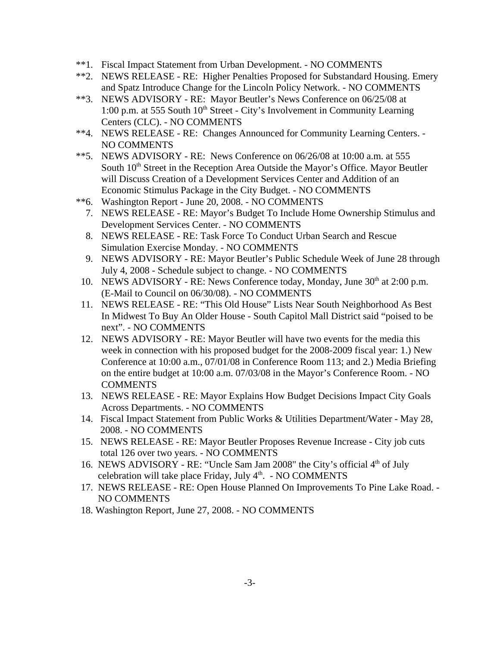- \*\*1. Fiscal Impact Statement from Urban Development. NO COMMENTS
- \*\*2. NEWS RELEASE RE: Higher Penalties Proposed for Substandard Housing. Emery and Spatz Introduce Change for the Lincoln Policy Network. - NO COMMENTS
- \*\*3. NEWS ADVISORY RE: Mayor Beutler's News Conference on 06/25/08 at 1:00 p.m. at 555 South  $10<sup>th</sup>$  Street - City's Involvement in Community Learning Centers (CLC). - NO COMMENTS
- \*\*4. NEWS RELEASE RE: Changes Announced for Community Learning Centers. NO COMMENTS
- \*\*5. NEWS ADVISORY RE: News Conference on 06/26/08 at 10:00 a.m. at 555 South  $10<sup>th</sup>$  Street in the Reception Area Outside the Mayor's Office. Mayor Beutler will Discuss Creation of a Development Services Center and Addition of an Economic Stimulus Package in the City Budget. - NO COMMENTS
- \*\*6. Washington Report June 20, 2008. NO COMMENTS
	- 7. NEWS RELEASE RE: Mayor's Budget To Include Home Ownership Stimulus and Development Services Center. - NO COMMENTS
	- 8. NEWS RELEASE RE: Task Force To Conduct Urban Search and Rescue Simulation Exercise Monday. - NO COMMENTS
	- 9. NEWS ADVISORY RE: Mayor Beutler's Public Schedule Week of June 28 through July 4, 2008 - Schedule subject to change. - NO COMMENTS
- 10. NEWS ADVISORY RE: News Conference today, Monday, June 30<sup>th</sup> at 2:00 p.m. (E-Mail to Council on 06/30/08). - NO COMMENTS
- 11. NEWS RELEASE RE: "This Old House" Lists Near South Neighborhood As Best In Midwest To Buy An Older House - South Capitol Mall District said "poised to be next". - NO COMMENTS
- 12. NEWS ADVISORY RE: Mayor Beutler will have two events for the media this week in connection with his proposed budget for the 2008-2009 fiscal year: 1.) New Conference at 10:00 a.m., 07/01/08 in Conference Room 113; and 2.) Media Briefing on the entire budget at 10:00 a.m. 07/03/08 in the Mayor's Conference Room. - NO COMMENTS
- 13. NEWS RELEASE RE: Mayor Explains How Budget Decisions Impact City Goals Across Departments. - NO COMMENTS
- 14. Fiscal Impact Statement from Public Works & Utilities Department/Water May 28, 2008. - NO COMMENTS
- 15. NEWS RELEASE RE: Mayor Beutler Proposes Revenue Increase City job cuts total 126 over two years. - NO COMMENTS
- 16. NEWS ADVISORY RE: "Uncle Sam Jam 2008" the City's official 4<sup>th</sup> of July celebration will take place Friday, July  $4<sup>th</sup>$ . - NO COMMENTS
- 17. NEWS RELEASE RE: Open House Planned On Improvements To Pine Lake Road. NO COMMENTS
- 18. Washington Report, June 27, 2008. NO COMMENTS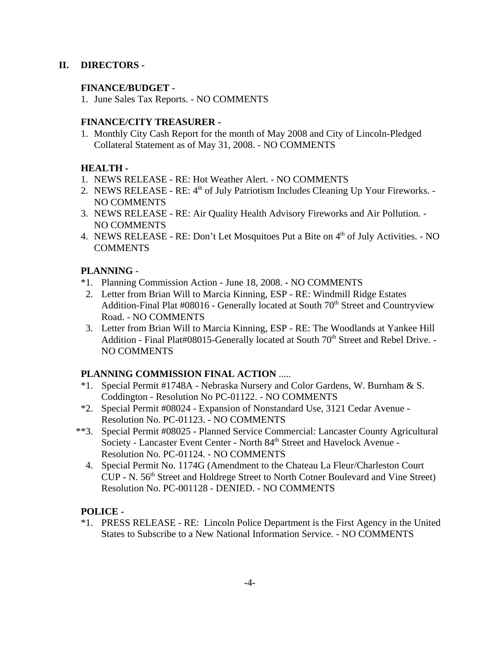# **II. DIRECTORS -**

#### **FINANCE/BUDGET -**

1. June Sales Tax Reports. - NO COMMENTS

#### **FINANCE/CITY TREASURER -**

1. Monthly City Cash Report for the month of May 2008 and City of Lincoln-Pledged Collateral Statement as of May 31, 2008. - NO COMMENTS

# **HEALTH -**

- 1. NEWS RELEASE RE: Hot Weather Alert. NO COMMENTS
- 2. NEWS RELEASE RE: 4<sup>th</sup> of July Patriotism Includes Cleaning Up Your Fireworks. -NO COMMENTS
- 3. NEWS RELEASE RE: Air Quality Health Advisory Fireworks and Air Pollution. NO COMMENTS
- 4. NEWS RELEASE RE: Don't Let Mosquitoes Put a Bite on 4<sup>th</sup> of July Activities. NO **COMMENTS**

## **PLANNING** -

- \*1. Planning Commission Action June 18, 2008.NO COMMENTS
- 2. Letter from Brian Will to Marcia Kinning, ESP RE: Windmill Ridge Estates Addition-Final Plat  $\#08016$  - Generally located at South  $70<sup>th</sup>$  Street and Countryview Road. - NO COMMENTS
- 3. Letter from Brian Will to Marcia Kinning, ESP RE: The Woodlands at Yankee Hill Addition - Final Plat#08015-Generally located at South 70<sup>th</sup> Street and Rebel Drive. -NO COMMENTS

## **PLANNING COMMISSION FINAL ACTION** .....

- \*1. Special Permit #1748A Nebraska Nursery and Color Gardens, W. Burnham & S. Coddington - Resolution No PC-01122. - NO COMMENTS
- \*2. Special Permit #08024 Expansion of Nonstandard Use, 3121 Cedar Avenue Resolution No. PC-01123. - NO COMMENTS
- \*\*3. Special Permit #08025 Planned Service Commercial: Lancaster County Agricultural Society - Lancaster Event Center - North 84<sup>th</sup> Street and Havelock Avenue -Resolution No. PC-01124. - NO COMMENTS
	- 4. Special Permit No. 1174G (Amendment to the Chateau La Fleur/Charleston Court CUP - N. 56<sup>th</sup> Street and Holdrege Street to North Cotner Boulevard and Vine Street) Resolution No. PC-001128 - DENIED. - NO COMMENTS

## **POLICE -**

\*1. PRESS RELEASE - RE: Lincoln Police Department is the First Agency in the United States to Subscribe to a New National Information Service. - NO COMMENTS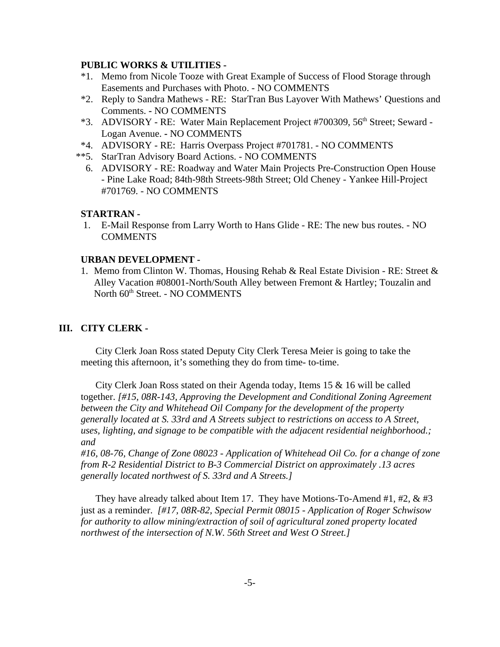#### **PUBLIC WORKS & UTILITIES -**

- \*1. Memo from Nicole Tooze with Great Example of Success of Flood Storage through Easements and Purchases with Photo. - NO COMMENTS
- \*2. Reply to Sandra Mathews RE: StarTran Bus Layover With Mathews' Questions and Comments. **-** NO COMMENTS
- \*3. ADVISORY RE: Water Main Replacement Project #700309, 56th Street; Seward Logan Avenue. **-** NO COMMENTS
- \*4. ADVISORY RE: Harris Overpass Project #701781. NO COMMENTS
- \*\*5. StarTran Advisory Board Actions. NO COMMENTS
	- 6. ADVISORY RE: Roadway and Water Main Projects Pre-Construction Open House - Pine Lake Road; 84th-98th Streets-98th Street; Old Cheney - Yankee Hill-Project #701769. - NO COMMENTS

#### **STARTRAN -**

 1. E-Mail Response from Larry Worth to Hans Glide - RE: The new bus routes. - NO **COMMENTS** 

#### **URBAN DEVELOPMENT -**

1. Memo from Clinton W. Thomas, Housing Rehab & Real Estate Division - RE: Street & Alley Vacation #08001-North/South Alley between Fremont & Hartley; Touzalin and North 60<sup>th</sup> Street. - NO COMMENTS

#### **III. CITY CLERK -**

City Clerk Joan Ross stated Deputy City Clerk Teresa Meier is going to take the meeting this afternoon, it's something they do from time- to-time.

City Clerk Joan Ross stated on their Agenda today, Items 15 & 16 will be called together. *[#15, 08R-143, Approving the Development and Conditional Zoning Agreement between the City and Whitehead Oil Company for the development of the property generally located at S. 33rd and A Streets subject to restrictions on access to A Street, uses, lighting, and signage to be compatible with the adjacent residential neighborhood.; and* 

*#16, 08-76, Change of Zone 08023 - Application of Whitehead Oil Co. for a change of zone from R-2 Residential District to B-3 Commercial District on approximately .13 acres generally located northwest of S. 33rd and A Streets.]*

They have already talked about Item 17. They have Motions-To-Amend #1, #2, & #3 just as a reminder. *[#17, 08R-82, Special Permit 08015 - Application of Roger Schwisow for authority to allow mining/extraction of soil of agricultural zoned property located northwest of the intersection of N.W. 56th Street and West O Street.]*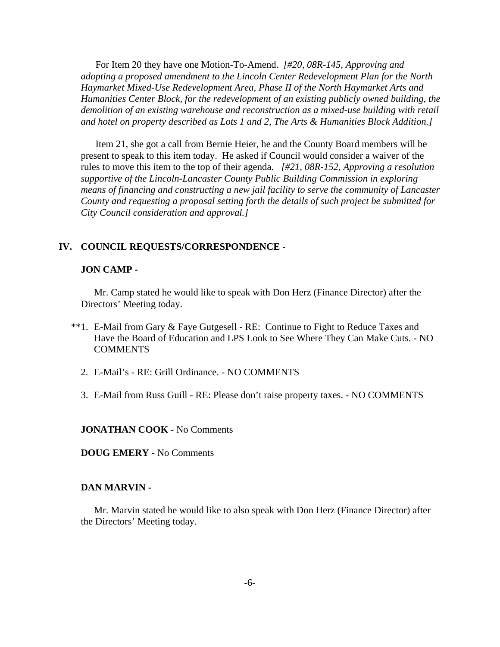For Item 20 they have one Motion-To-Amend. *[#20, 08R-145, Approving and adopting a proposed amendment to the Lincoln Center Redevelopment Plan for the North Haymarket Mixed-Use Redevelopment Area, Phase II of the North Haymarket Arts and Humanities Center Block, for the redevelopment of an existing publicly owned building, the demolition of an existing warehouse and reconstruction as a mixed-use building with retail and hotel on property described as Lots 1 and 2, The Arts & Humanities Block Addition.]*

Item 21, she got a call from Bernie Heier, he and the County Board members will be present to speak to this item today. He asked if Council would consider a waiver of the rules to move this item to the top of their agenda. *[#21, 08R-152, Approving a resolution supportive of the Lincoln-Lancaster County Public Building Commission in exploring means of financing and constructing a new jail facility to serve the community of Lancaster County and requesting a proposal setting forth the details of such project be submitted for City Council consideration and approval.]*

#### **IV. COUNCIL REQUESTS/CORRESPONDENCE -**

#### **JON CAMP -**

Mr. Camp stated he would like to speak with Don Herz (Finance Director) after the Directors' Meeting today.

- \*\*1. E-Mail from Gary & Faye Gutgesell RE: Continue to Fight to Reduce Taxes and Have the Board of Education and LPS Look to See Where They Can Make Cuts. - NO **COMMENTS** 
	- 2. E-Mail's RE: Grill Ordinance. NO COMMENTS
	- 3. E-Mail from Russ Guill RE: Please don't raise property taxes. NO COMMENTS

**JONATHAN COOK -** No Comments

**DOUG EMERY -** No Comments

#### **DAN MARVIN -**

Mr. Marvin stated he would like to also speak with Don Herz (Finance Director) after the Directors' Meeting today.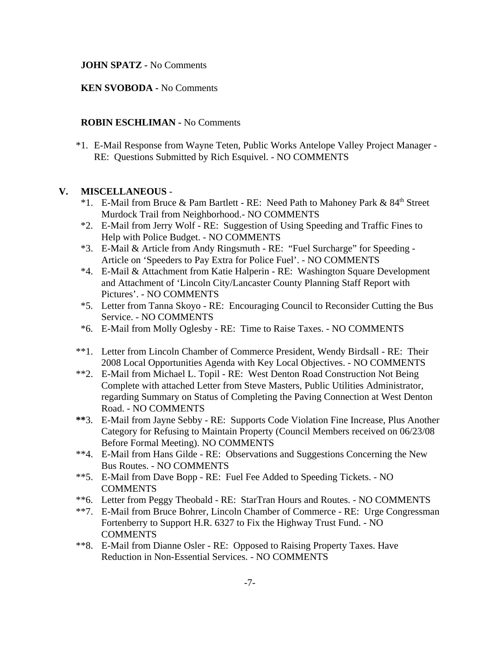#### **JOHN SPATZ -** No Comments

#### **KEN SVOBODA -** No Comments

#### **ROBIN ESCHLIMAN -** No Comments

\*1. E-Mail Response from Wayne Teten, Public Works Antelope Valley Project Manager - RE: Questions Submitted by Rich Esquivel. - NO COMMENTS

#### **V. MISCELLANEOUS** -

- \*1. E-Mail from Bruce & Pam Bartlett RE: Need Path to Mahoney Park &  $84<sup>th</sup>$  Street Murdock Trail from Neighborhood.- NO COMMENTS
- \*2. E-Mail from Jerry Wolf RE: Suggestion of Using Speeding and Traffic Fines to Help with Police Budget. - NO COMMENTS
- \*3. E-Mail & Article from Andy Ringsmuth RE: "Fuel Surcharge" for Speeding Article on 'Speeders to Pay Extra for Police Fuel'. - NO COMMENTS
- \*4. E-Mail & Attachment from Katie Halperin RE: Washington Square Development and Attachment of 'Lincoln City/Lancaster County Planning Staff Report with Pictures'. - NO COMMENTS
- \*5. Letter from Tanna Skoyo RE: Encouraging Council to Reconsider Cutting the Bus Service. - NO COMMENTS
- \*6. E-Mail from Molly Oglesby RE: Time to Raise Taxes. NO COMMENTS
- \*\*1. Letter from Lincoln Chamber of Commerce President, Wendy Birdsall RE: Their 2008 Local Opportunities Agenda with Key Local Objectives. - NO COMMENTS
- \*\*2. E-Mail from Michael L. Topil RE: West Denton Road Construction Not Being Complete with attached Letter from Steve Masters, Public Utilities Administrator, regarding Summary on Status of Completing the Paving Connection at West Denton Road. - NO COMMENTS
- **\*\***3. E-Mail from Jayne Sebby RE: Supports Code Violation Fine Increase, Plus Another Category for Refusing to Maintain Property (Council Members received on 06/23/08 Before Formal Meeting). NO COMMENTS
- \*\*4. E-Mail from Hans Gilde RE: Observations and Suggestions Concerning the New Bus Routes. - NO COMMENTS
- \*\*5. E-Mail from Dave Bopp RE: Fuel Fee Added to Speeding Tickets. NO COMMENTS
- \*\*6. Letter from Peggy Theobald RE: StarTran Hours and Routes. NO COMMENTS
- \*\*7. E-Mail from Bruce Bohrer, Lincoln Chamber of Commerce RE: Urge Congressman Fortenberry to Support H.R. 6327 to Fix the Highway Trust Fund. - NO **COMMENTS**
- \*\*8. E-Mail from Dianne Osler RE: Opposed to Raising Property Taxes. Have Reduction in Non-Essential Services. - NO COMMENTS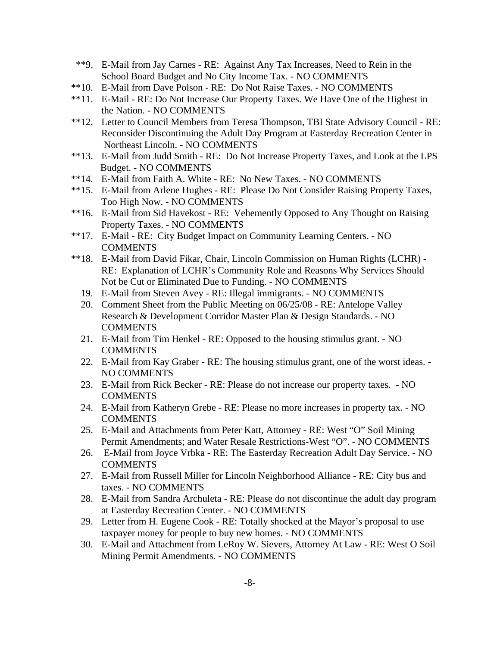- \*\*9. E-Mail from Jay Carnes RE: Against Any Tax Increases, Need to Rein in the School Board Budget and No City Income Tax. - NO COMMENTS
- \*\*10. E-Mail from Dave Polson RE: Do Not Raise Taxes. NO COMMENTS
- \*\*11. E-Mail RE: Do Not Increase Our Property Taxes. We Have One of the Highest in the Nation. - NO COMMENTS
- \*\*12. Letter to Council Members from Teresa Thompson, TBI State Advisory Council RE: Reconsider Discontinuing the Adult Day Program at Easterday Recreation Center in Northeast Lincoln. - NO COMMENTS
- \*\*13. E-Mail from Judd Smith RE: Do Not Increase Property Taxes, and Look at the LPS Budget. - NO COMMENTS
- \*\*14. E-Mail from Faith A. White RE: No New Taxes. NO COMMENTS
- \*\*15. E-Mail from Arlene Hughes RE: Please Do Not Consider Raising Property Taxes, Too High Now. - NO COMMENTS
- \*\*16. E-Mail from Sid Havekost RE: Vehemently Opposed to Any Thought on Raising Property Taxes. - NO COMMENTS
- \*\*17. E-Mail RE: City Budget Impact on Community Learning Centers. NO **COMMENTS**
- \*\*18. E-Mail from David Fikar, Chair, Lincoln Commission on Human Rights (LCHR) RE: Explanation of LCHR's Community Role and Reasons Why Services Should Not be Cut or Eliminated Due to Funding. - NO COMMENTS
	- 19. E-Mail from Steven Avey RE: Illegal immigrants. NO COMMENTS
	- 20. Comment Sheet from the Public Meeting on 06/25/08 RE: Antelope Valley Research & Development Corridor Master Plan & Design Standards. - NO **COMMENTS**
	- 21. E-Mail from Tim Henkel RE: Opposed to the housing stimulus grant. NO COMMENTS
	- 22. E-Mail from Kay Graber RE: The housing stimulus grant, one of the worst ideas. NO COMMENTS
	- 23. E-Mail from Rick Becker RE: Please do not increase our property taxes. NO COMMENTS
	- 24. E-Mail from Katheryn Grebe RE: Please no more increases in property tax. NO COMMENTS
	- 25. E-Mail and Attachments from Peter Katt, Attorney RE: West "O" Soil Mining Permit Amendments; and Water Resale Restrictions-West "O". - NO COMMENTS
	- 26. E-Mail from Joyce Vrbka RE: The Easterday Recreation Adult Day Service. NO **COMMENTS**
	- 27. E-Mail from Russell Miller for Lincoln Neighborhood Alliance RE: City bus and taxes. - NO COMMENTS
	- 28. E-Mail from Sandra Archuleta RE: Please do not discontinue the adult day program at Easterday Recreation Center. - NO COMMENTS
	- 29. Letter from H. Eugene Cook RE: Totally shocked at the Mayor's proposal to use taxpayer money for people to buy new homes. - NO COMMENTS
	- 30. E-Mail and Attachment from LeRoy W. Sievers, Attorney At Law RE: West O Soil Mining Permit Amendments. - NO COMMENTS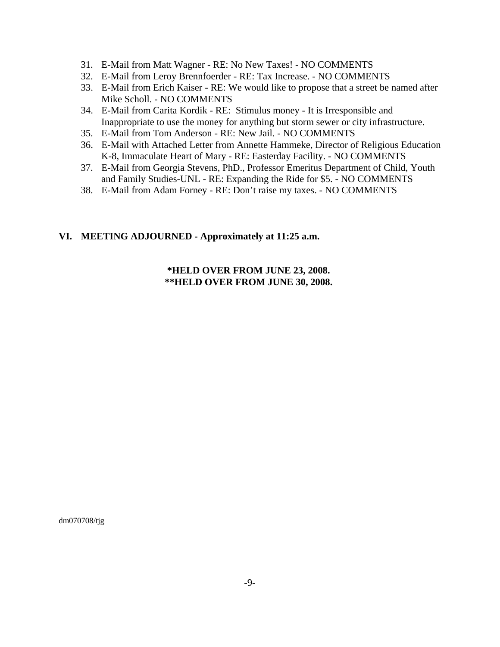- 31. E-Mail from Matt Wagner RE: No New Taxes! NO COMMENTS
- 32. E-Mail from Leroy Brennfoerder RE: Tax Increase. NO COMMENTS
- 33. E-Mail from Erich Kaiser RE: We would like to propose that a street be named after Mike Scholl. - NO COMMENTS
- 34. E-Mail from Carita Kordik RE: Stimulus money It is Irresponsible and Inappropriate to use the money for anything but storm sewer or city infrastructure.
- 35. E-Mail from Tom Anderson RE: New Jail. NO COMMENTS
- 36. E-Mail with Attached Letter from Annette Hammeke, Director of Religious Education K-8, Immaculate Heart of Mary - RE: Easterday Facility. - NO COMMENTS
- 37. E-Mail from Georgia Stevens, PhD., Professor Emeritus Department of Child, Youth and Family Studies-UNL - RE: Expanding the Ride for \$5. - NO COMMENTS
- 38. E-Mail from Adam Forney RE: Don't raise my taxes. NO COMMENTS

#### **VI. MEETING ADJOURNED - Approximately at 11:25 a.m.**

#### **\*HELD OVER FROM JUNE 23, 2008. \*\*HELD OVER FROM JUNE 30, 2008.**

dm070708/tjg